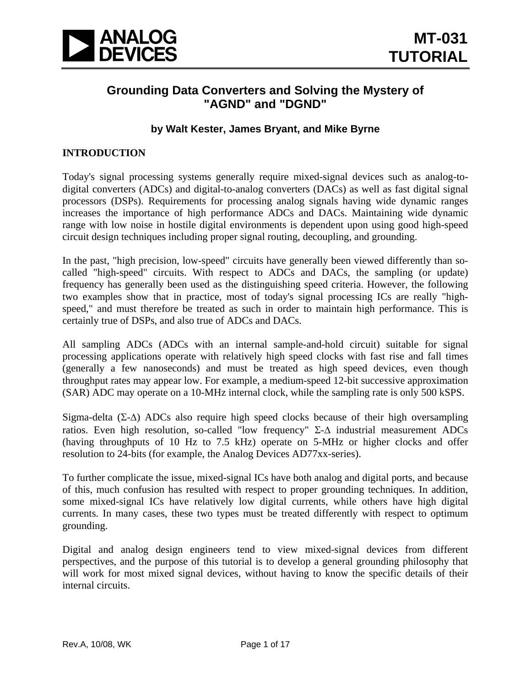

## **Grounding Data Converters and Solving the Mystery of "AGND" and "DGND"**

#### **by Walt Kester, James Bryant, and Mike Byrne**

#### **INTRODUCTION**

Today's signal processing systems generally require mixed-signal devices such as analog-todigital converters (ADCs) and digital-to-analog converters (DACs) as well as fast digital signal processors (DSPs). Requirements for processing analog signals having wide dynamic ranges increases the importance of high performance ADCs and DACs. Maintaining wide dynamic range with low noise in hostile digital environments is dependent upon using good high-speed circuit design techniques including proper signal routing, decoupling, and grounding.

In the past, "high precision, low-speed" circuits have generally been viewed differently than socalled "high-speed" circuits. With respect to ADCs and DACs, the sampling (or update) frequency has generally been used as the distinguishing speed criteria. However, the following two examples show that in practice, most of today's signal processing ICs are really "highspeed," and must therefore be treated as such in order to maintain high performance. This is certainly true of DSPs, and also true of ADCs and DACs.

All sampling ADCs (ADCs with an internal sample-and-hold circuit) suitable for signal processing applications operate with relatively high speed clocks with fast rise and fall times (generally a few nanoseconds) and must be treated as high speed devices, even though throughput rates may appear low. For example, a medium-speed 12-bit successive approximation (SAR) ADC may operate on a 10-MHz internal clock, while the sampling rate is only 500 kSPS.

Sigma-delta  $(\Sigma-\Delta)$  ADCs also require high speed clocks because of their high oversampling ratios. Even high resolution, so-called "low frequency" Σ-Δ industrial measurement ADCs (having throughputs of 10 Hz to 7.5 kHz) operate on 5-MHz or higher clocks and offer resolution to 24-bits (for example, the Analog Devices AD77xx-series).

To further complicate the issue, mixed-signal ICs have both analog and digital ports, and because of this, much confusion has resulted with respect to proper grounding techniques. In addition, some mixed-signal ICs have relatively low digital currents, while others have high digital currents. In many cases, these two types must be treated differently with respect to optimum grounding.

Digital and analog design engineers tend to view mixed-signal devices from different perspectives, and the purpose of this tutorial is to develop a general grounding philosophy that will work for most mixed signal devices, without having to know the specific details of their internal circuits.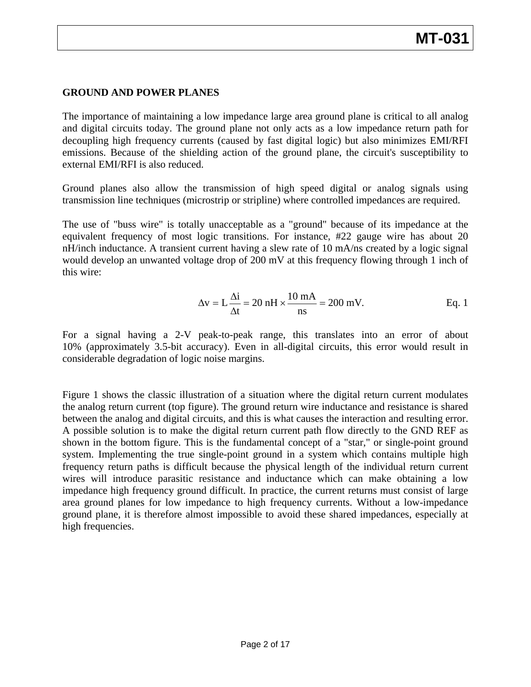#### **GROUND AND POWER PLANES**

The importance of maintaining a low impedance large area ground plane is critical to all analog and digital circuits today. The ground plane not only acts as a low impedance return path for decoupling high frequency currents (caused by fast digital logic) but also minimizes EMI/RFI emissions. Because of the shielding action of the ground plane, the circuit's susceptibility to external EMI/RFI is also reduced.

Ground planes also allow the transmission of high speed digital or analog signals using transmission line techniques (microstrip or stripline) where controlled impedances are required.

The use of "buss wire" is totally unacceptable as a "ground" because of its impedance at the equivalent frequency of most logic transitions. For instance, #22 gauge wire has about 20 nH/inch inductance. A transient current having a slew rate of 10 mA/ns created by a logic signal would develop an unwanted voltage drop of 200 mV at this frequency flowing through 1 inch of this wire:

$$
\Delta v = L \frac{\Delta i}{\Delta t} = 20 \text{ nH} \times \frac{10 \text{ mA}}{\text{ns}} = 200 \text{ mV}.
$$
 Eq. 1

For a signal having a 2-V peak-to-peak range, this translates into an error of about 10% (approximately 3.5-bit accuracy). Even in all-digital circuits, this error would result in considerable degradation of logic noise margins.

Figure 1 shows the classic illustration of a situation where the digital return current modulates the analog return current (top figure). The ground return wire inductance and resistance is shared between the analog and digital circuits, and this is what causes the interaction and resulting error. A possible solution is to make the digital return current path flow directly to the GND REF as shown in the bottom figure. This is the fundamental concept of a "star," or single-point ground system. Implementing the true single-point ground in a system which contains multiple high frequency return paths is difficult because the physical length of the individual return current wires will introduce parasitic resistance and inductance which can make obtaining a low impedance high frequency ground difficult. In practice, the current returns must consist of large area ground planes for low impedance to high frequency currents. Without a low-impedance ground plane, it is therefore almost impossible to avoid these shared impedances, especially at high frequencies.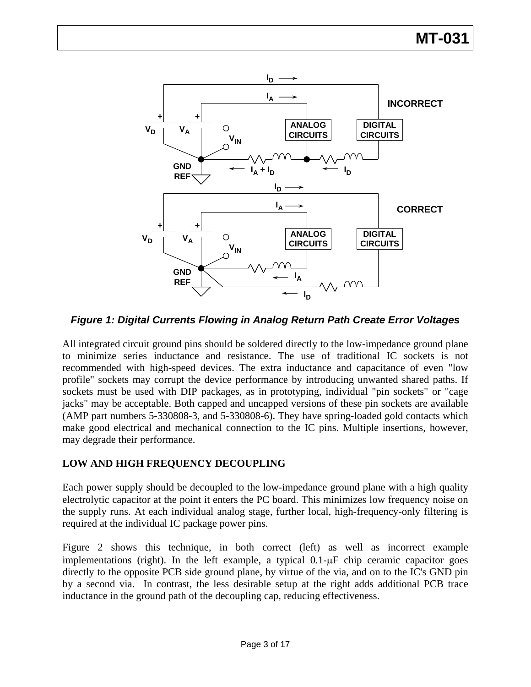

*Figure 1: Digital Currents Flowing in Analog Return Path Create Error Voltages* 

All integrated circuit ground pins should be soldered directly to the low-impedance ground plane to minimize series inductance and resistance. The use of traditional IC sockets is not recommended with high-speed devices. The extra inductance and capacitance of even "low profile" sockets may corrupt the device performance by introducing unwanted shared paths. If sockets must be used with DIP packages, as in prototyping, individual "pin sockets" or "cage jacks" may be acceptable. Both capped and uncapped versions of these pin sockets are available (AMP part numbers 5-330808-3, and 5-330808-6). They have spring-loaded gold contacts which make good electrical and mechanical connection to the IC pins. Multiple insertions, however, may degrade their performance.

### **LOW AND HIGH FREQUENCY DECOUPLING**

Each power supply should be decoupled to the low-impedance ground plane with a high quality electrolytic capacitor at the point it enters the PC board. This minimizes low frequency noise on the supply runs. At each individual analog stage, further local, high-frequency-only filtering is required at the individual IC package power pins.

Figure 2 shows this technique, in both correct (left) as well as incorrect example implementations (right). In the left example, a typical 0.1-μF chip ceramic capacitor goes directly to the opposite PCB side ground plane, by virtue of the via, and on to the IC's GND pin by a second via. In contrast, the less desirable setup at the right adds additional PCB trace inductance in the ground path of the decoupling cap, reducing effectiveness.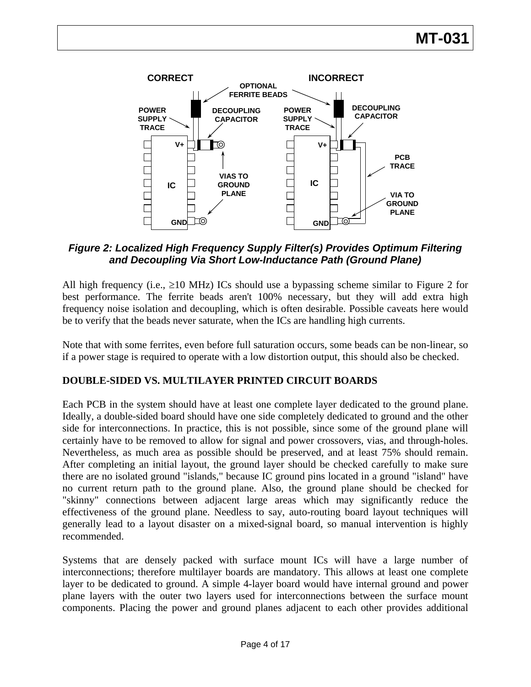

#### *Figure 2: Localized High Frequency Supply Filter(s) Provides Optimum Filtering and Decoupling Via Short Low-Inductance Path (Ground Plane)*

All high frequency (i.e.,  $\geq 10$  MHz) ICs should use a bypassing scheme similar to Figure 2 for best performance. The ferrite beads aren't 100% necessary, but they will add extra high frequency noise isolation and decoupling, which is often desirable. Possible caveats here would be to verify that the beads never saturate, when the ICs are handling high currents.

Note that with some ferrites, even before full saturation occurs, some beads can be non-linear, so if a power stage is required to operate with a low distortion output, this should also be checked.

### **DOUBLE-SIDED VS. MULTILAYER PRINTED CIRCUIT BOARDS**

Each PCB in the system should have at least one complete layer dedicated to the ground plane. Ideally, a double-sided board should have one side completely dedicated to ground and the other side for interconnections. In practice, this is not possible, since some of the ground plane will certainly have to be removed to allow for signal and power crossovers, vias, and through-holes. Nevertheless, as much area as possible should be preserved, and at least 75% should remain. After completing an initial layout, the ground layer should be checked carefully to make sure there are no isolated ground "islands," because IC ground pins located in a ground "island" have no current return path to the ground plane. Also, the ground plane should be checked for "skinny" connections between adjacent large areas which may significantly reduce the effectiveness of the ground plane. Needless to say, auto-routing board layout techniques will generally lead to a layout disaster on a mixed-signal board, so manual intervention is highly recommended.

Systems that are densely packed with surface mount ICs will have a large number of interconnections; therefore multilayer boards are mandatory. This allows at least one complete layer to be dedicated to ground. A simple 4-layer board would have internal ground and power plane layers with the outer two layers used for interconnections between the surface mount components. Placing the power and ground planes adjacent to each other provides additional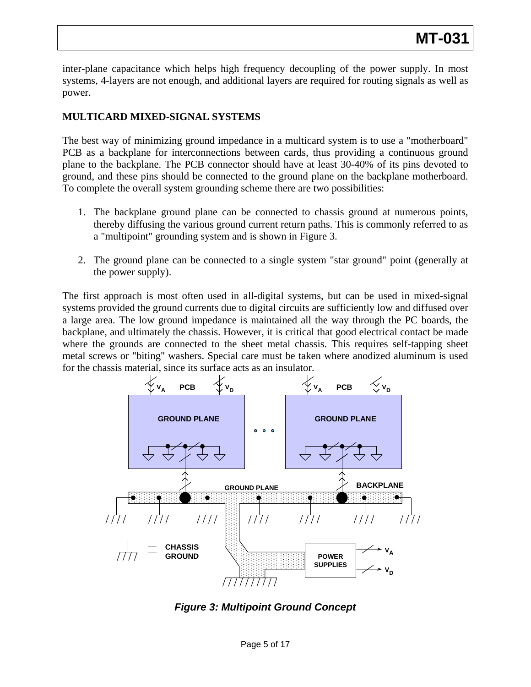inter-plane capacitance which helps high frequency decoupling of the power supply. In most systems, 4-layers are not enough, and additional layers are required for routing signals as well as power.

## **MULTICARD MIXED-SIGNAL SYSTEMS**

The best way of minimizing ground impedance in a multicard system is to use a "motherboard" PCB as a backplane for interconnections between cards, thus providing a continuous ground plane to the backplane. The PCB connector should have at least 30-40% of its pins devoted to ground, and these pins should be connected to the ground plane on the backplane motherboard. To complete the overall system grounding scheme there are two possibilities:

- 1. The backplane ground plane can be connected to chassis ground at numerous points, thereby diffusing the various ground current return paths. This is commonly referred to as a "multipoint" grounding system and is shown in Figure 3.
- 2. The ground plane can be connected to a single system "star ground" point (generally at the power supply).

The first approach is most often used in all-digital systems, but can be used in mixed-signal systems provided the ground currents due to digital circuits are sufficiently low and diffused over a large area. The low ground impedance is maintained all the way through the PC boards, the backplane, and ultimately the chassis. However, it is critical that good electrical contact be made where the grounds are connected to the sheet metal chassis. This requires self-tapping sheet metal screws or "biting" washers. Special care must be taken where anodized aluminum is used for the chassis material, since its surface acts as an insulator.



*Figure 3: Multipoint Ground Concept*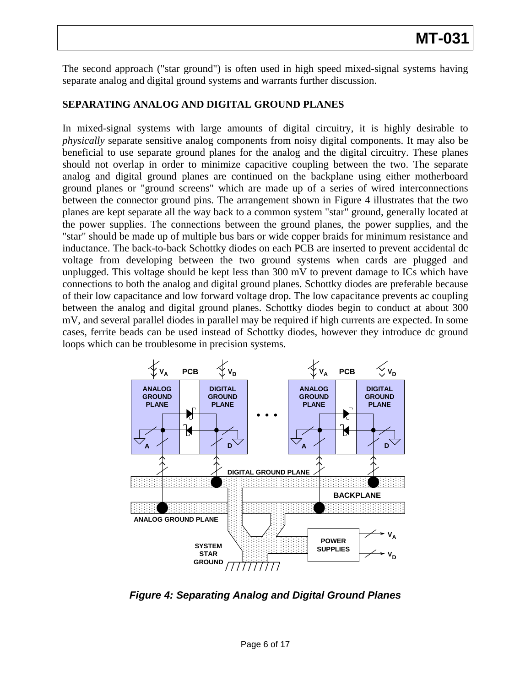The second approach ("star ground") is often used in high speed mixed-signal systems having separate analog and digital ground systems and warrants further discussion.

#### **SEPARATING ANALOG AND DIGITAL GROUND PLANES**

In mixed-signal systems with large amounts of digital circuitry, it is highly desirable to *physically* separate sensitive analog components from noisy digital components. It may also be beneficial to use separate ground planes for the analog and the digital circuitry. These planes should not overlap in order to minimize capacitive coupling between the two. The separate analog and digital ground planes are continued on the backplane using either motherboard ground planes or "ground screens" which are made up of a series of wired interconnections between the connector ground pins. The arrangement shown in Figure 4 illustrates that the two planes are kept separate all the way back to a common system "star" ground, generally located at the power supplies. The connections between the ground planes, the power supplies, and the "star" should be made up of multiple bus bars or wide copper braids for minimum resistance and inductance. The back-to-back Schottky diodes on each PCB are inserted to prevent accidental dc voltage from developing between the two ground systems when cards are plugged and unplugged. This voltage should be kept less than 300 mV to prevent damage to ICs which have connections to both the analog and digital ground planes. Schottky diodes are preferable because of their low capacitance and low forward voltage drop. The low capacitance prevents ac coupling between the analog and digital ground planes. Schottky diodes begin to conduct at about 300 mV, and several parallel diodes in parallel may be required if high currents are expected. In some cases, ferrite beads can be used instead of Schottky diodes, however they introduce dc ground loops which can be troublesome in precision systems.



*Figure 4: Separating Analog and Digital Ground Planes*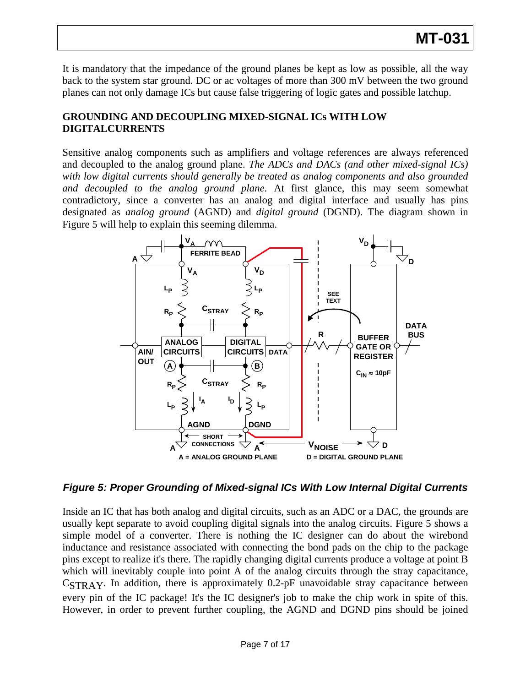It is mandatory that the impedance of the ground planes be kept as low as possible, all the way back to the system star ground. DC or ac voltages of more than 300 mV between the two ground planes can not only damage ICs but cause false triggering of logic gates and possible latchup.

### **GROUNDING AND DECOUPLING MIXED-SIGNAL ICs WITH LOW DIGITALCURRENTS**

Sensitive analog components such as amplifiers and voltage references are always referenced and decoupled to the analog ground plane. *The ADCs and DACs (and other mixed-signal ICs) with low digital currents should generally be treated as analog components and also grounded and decoupled to the analog ground plane*. At first glance, this may seem somewhat contradictory, since a converter has an analog and digital interface and usually has pins designated as *analog ground* (AGND) and *digital ground* (DGND). The diagram shown in Figure 5 will help to explain this seeming dilemma.



*Figure 5: Proper Grounding of Mixed-signal ICs With Low Internal Digital Currents* 

Inside an IC that has both analog and digital circuits, such as an ADC or a DAC, the grounds are usually kept separate to avoid coupling digital signals into the analog circuits. Figure 5 shows a simple model of a converter. There is nothing the IC designer can do about the wirebond inductance and resistance associated with connecting the bond pads on the chip to the package pins except to realize it's there. The rapidly changing digital currents produce a voltage at point B which will inevitably couple into point A of the analog circuits through the stray capacitance,  $C<sub>STRAY</sub>$ . In addition, there is approximately 0.2-pF unavoidable stray capacitance between every pin of the IC package! It's the IC designer's job to make the chip work in spite of this. However, in order to prevent further coupling, the AGND and DGND pins should be joined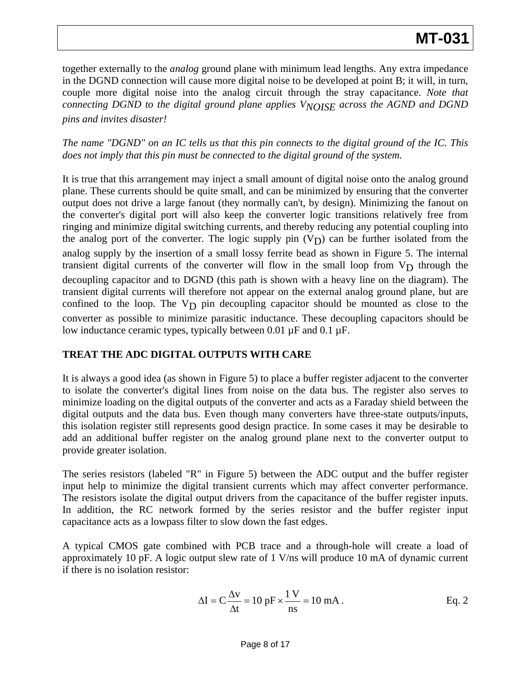together externally to the *analog* ground plane with minimum lead lengths. Any extra impedance in the DGND connection will cause more digital noise to be developed at point B; it will, in turn, couple more digital noise into the analog circuit through the stray capacitance. *Note that connecting DGND to the digital ground plane applies V<sub>NOISE</sub> across the AGND and DGND pins and invites disaster!*

*The name "DGND" on an IC tells us that this pin connects to the digital ground of the IC. This does not imply that this pin must be connected to the digital ground of the system.* 

It is true that this arrangement may inject a small amount of digital noise onto the analog ground plane. These currents should be quite small, and can be minimized by ensuring that the converter output does not drive a large fanout (they normally can't, by design). Minimizing the fanout on the converter's digital port will also keep the converter logic transitions relatively free from ringing and minimize digital switching currents, and thereby reducing any potential coupling into the analog port of the converter. The logic supply pin  $(V_D)$  can be further isolated from the analog supply by the insertion of a small lossy ferrite bead as shown in Figure 5. The internal transient digital currents of the converter will flow in the small loop from  $V_D$  through the decoupling capacitor and to DGND (this path is shown with a heavy line on the diagram). The transient digital currents will therefore not appear on the external analog ground plane, but are confined to the loop. The  $V_D$  pin decoupling capacitor should be mounted as close to the converter as possible to minimize parasitic inductance. These decoupling capacitors should be low inductance ceramic types, typically between 0.01 µF and 0.1 µF.

### **TREAT THE ADC DIGITAL OUTPUTS WITH CARE**

It is always a good idea (as shown in Figure 5) to place a buffer register adjacent to the converter to isolate the converter's digital lines from noise on the data bus. The register also serves to minimize loading on the digital outputs of the converter and acts as a Faraday shield between the digital outputs and the data bus. Even though many converters have three-state outputs/inputs, this isolation register still represents good design practice. In some cases it may be desirable to add an additional buffer register on the analog ground plane next to the converter output to provide greater isolation.

The series resistors (labeled "R" in Figure 5) between the ADC output and the buffer register input help to minimize the digital transient currents which may affect converter performance. The resistors isolate the digital output drivers from the capacitance of the buffer register inputs. In addition, the RC network formed by the series resistor and the buffer register input capacitance acts as a lowpass filter to slow down the fast edges.

A typical CMOS gate combined with PCB trace and a through-hole will create a load of approximately 10 pF. A logic output slew rate of 1 V/ns will produce 10 mA of dynamic current if there is no isolation resistor:

$$
\Delta I = C \frac{\Delta v}{\Delta t} = 10 \text{ pF} \times \frac{1 \text{ V}}{\text{ns}} = 10 \text{ mA}.
$$
 Eq. 2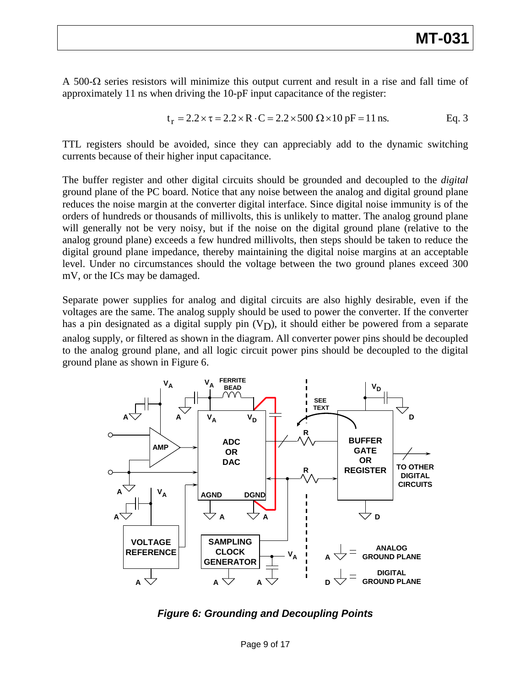A 500-Ω series resistors will minimize this output current and result in a rise and fall time of approximately 11 ns when driving the 10-pF input capacitance of the register:

$$
t_r = 2.2 \times \tau = 2.2 \times R \cdot C = 2.2 \times 500 \Omega \times 10 \text{ pF} = 11 \text{ ns.}
$$
 Eq. 3

TTL registers should be avoided, since they can appreciably add to the dynamic switching currents because of their higher input capacitance.

The buffer register and other digital circuits should be grounded and decoupled to the *digital* ground plane of the PC board. Notice that any noise between the analog and digital ground plane reduces the noise margin at the converter digital interface. Since digital noise immunity is of the orders of hundreds or thousands of millivolts, this is unlikely to matter. The analog ground plane will generally not be very noisy, but if the noise on the digital ground plane (relative to the analog ground plane) exceeds a few hundred millivolts, then steps should be taken to reduce the digital ground plane impedance, thereby maintaining the digital noise margins at an acceptable level. Under no circumstances should the voltage between the two ground planes exceed 300 mV, or the ICs may be damaged.

Separate power supplies for analog and digital circuits are also highly desirable, even if the voltages are the same. The analog supply should be used to power the converter. If the converter has a pin designated as a digital supply pin  $(V_D)$ , it should either be powered from a separate analog supply, or filtered as shown in the diagram. All converter power pins should be decoupled to the analog ground plane, and all logic circuit power pins should be decoupled to the digital ground plane as shown in Figure 6.



*Figure 6: Grounding and Decoupling Points*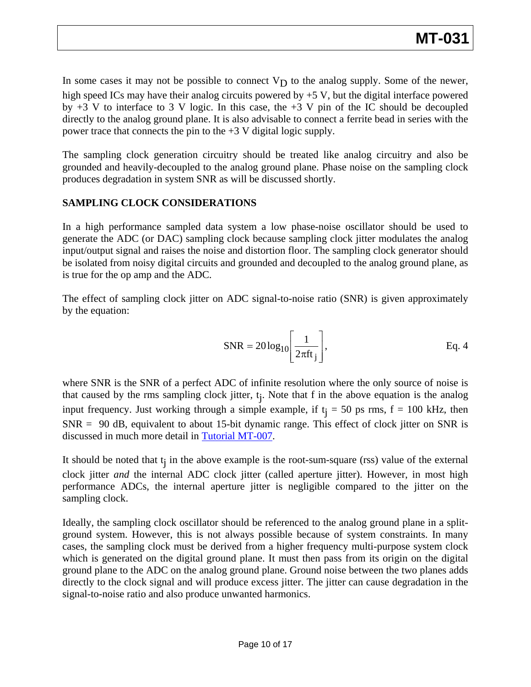In some cases it may not be possible to connect  $V_D$  to the analog supply. Some of the newer, high speed ICs may have their analog circuits powered by  $+5$  V, but the digital interface powered by  $+3$  V to interface to 3 V logic. In this case, the  $+3$  V pin of the IC should be decoupled directly to the analog ground plane. It is also advisable to connect a ferrite bead in series with the power trace that connects the pin to the +3 V digital logic supply.

The sampling clock generation circuitry should be treated like analog circuitry and also be grounded and heavily-decoupled to the analog ground plane. Phase noise on the sampling clock produces degradation in system SNR as will be discussed shortly.

#### **SAMPLING CLOCK CONSIDERATIONS**

In a high performance sampled data system a low phase-noise oscillator should be used to generate the ADC (or DAC) sampling clock because sampling clock jitter modulates the analog input/output signal and raises the noise and distortion floor. The sampling clock generator should be isolated from noisy digital circuits and grounded and decoupled to the analog ground plane, as is true for the op amp and the ADC.

The effect of sampling clock jitter on ADC signal-to-noise ratio (SNR) is given approximately by the equation:

$$
SNR = 20 \log_{10} \left[ \frac{1}{2\pi ft_j} \right],
$$
 Eq. 4

where SNR is the SNR of a perfect ADC of infinite resolution where the only source of noise is that caused by the rms sampling clock jitter,  $t_i$ . Note that f in the above equation is the analog input frequency. Just working through a simple example, if  $t_i = 50$  ps rms,  $f = 100$  kHz, then SNR = 90 dB, equivalent to about 15-bit dynamic range. This effect of clock jitter on SNR is discussed in much more detail in [Tutorial MT-007](http://www.analog.com/static/imported-files/tutorials/MT-007.pdf).

It should be noted that  $t_i$  in the above example is the root-sum-square (rss) value of the external clock jitter *and* the internal ADC clock jitter (called aperture jitter). However, in most high performance ADCs, the internal aperture jitter is negligible compared to the jitter on the sampling clock.

Ideally, the sampling clock oscillator should be referenced to the analog ground plane in a splitground system. However, this is not always possible because of system constraints. In many cases, the sampling clock must be derived from a higher frequency multi-purpose system clock which is generated on the digital ground plane. It must then pass from its origin on the digital ground plane to the ADC on the analog ground plane. Ground noise between the two planes adds directly to the clock signal and will produce excess jitter. The jitter can cause degradation in the signal-to-noise ratio and also produce unwanted harmonics.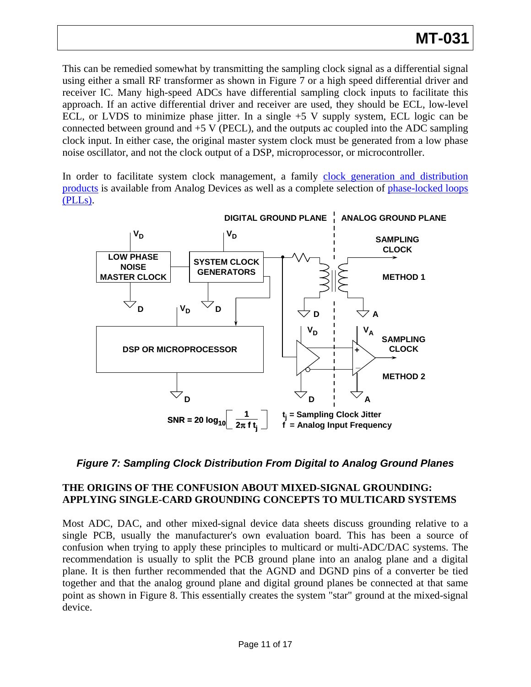This can be remedied somewhat by transmitting the sampling clock signal as a differential signal using either a small RF transformer as shown in Figure 7 or a high speed differential driver and receiver IC. Many high-speed ADCs have differential sampling clock inputs to facilitate this approach. If an active differential driver and receiver are used, they should be ECL, low-level ECL, or LVDS to minimize phase jitter. In a single +5 V supply system, ECL logic can be connected between ground and  $+5$  V (PECL), and the outputs ac coupled into the ADC sampling clock input. In either case, the original master system clock must be generated from a low phase noise oscillator, and not the clock output of a DSP, microprocessor, or microcontroller.

In order to facilitate system clock management, a family [clock generation and distribution](http://www.analog.com/en/subCat/0,2879,1073%255F931%255F0%255F%255F0%255F,00.html)  [products](http://www.analog.com/en/subCat/0,2879,1073%255F931%255F0%255F%255F0%255F,00.html) is available from Analog Devices as well as a complete selection of [phase-locked loops](http://www.analog.com/en/subCat/0,2879,770%255F850%255F0%255F%255F0%255F,00.html)  [\(PLLs\)](http://www.analog.com/en/subCat/0,2879,770%255F850%255F0%255F%255F0%255F,00.html).



### *Figure 7: Sampling Clock Distribution From Digital to Analog Ground Planes*

#### **THE ORIGINS OF THE CONFUSION ABOUT MIXED-SIGNAL GROUNDING: APPLYING SINGLE-CARD GROUNDING CONCEPTS TO MULTICARD SYSTEMS**

Most ADC, DAC, and other mixed-signal device data sheets discuss grounding relative to a single PCB, usually the manufacturer's own evaluation board. This has been a source of confusion when trying to apply these principles to multicard or multi-ADC/DAC systems. The recommendation is usually to split the PCB ground plane into an analog plane and a digital plane. It is then further recommended that the AGND and DGND pins of a converter be tied together and that the analog ground plane and digital ground planes be connected at that same point as shown in Figure 8. This essentially creates the system "star" ground at the mixed-signal device.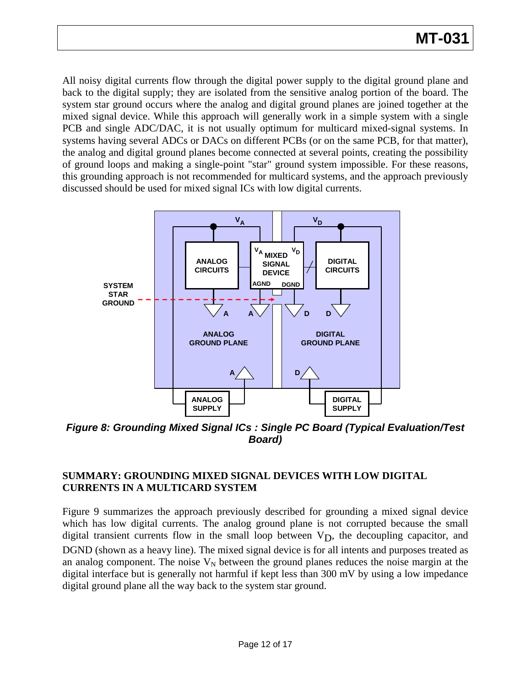# **MT-031**

All noisy digital currents flow through the digital power supply to the digital ground plane and back to the digital supply; they are isolated from the sensitive analog portion of the board. The system star ground occurs where the analog and digital ground planes are joined together at the mixed signal device. While this approach will generally work in a simple system with a single PCB and single ADC/DAC, it is not usually optimum for multicard mixed-signal systems. In systems having several ADCs or DACs on different PCBs (or on the same PCB, for that matter), the analog and digital ground planes become connected at several points, creating the possibility of ground loops and making a single-point "star" ground system impossible. For these reasons, this grounding approach is not recommended for multicard systems, and the approach previously discussed should be used for mixed signal ICs with low digital currents.



*Figure 8: Grounding Mixed Signal ICs : Single PC Board (Typical Evaluation/Test Board)* 

## **SUMMARY: GROUNDING MIXED SIGNAL DEVICES WITH LOW DIGITAL CURRENTS IN A MULTICARD SYSTEM**

Figure 9 summarizes the approach previously described for grounding a mixed signal device which has low digital currents. The analog ground plane is not corrupted because the small digital transient currents flow in the small loop between  $V_D$ , the decoupling capacitor, and DGND (shown as a heavy line). The mixed signal device is for all intents and purposes treated as an analog component. The noise  $V_N$  between the ground planes reduces the noise margin at the digital interface but is generally not harmful if kept less than 300 mV by using a low impedance digital ground plane all the way back to the system star ground.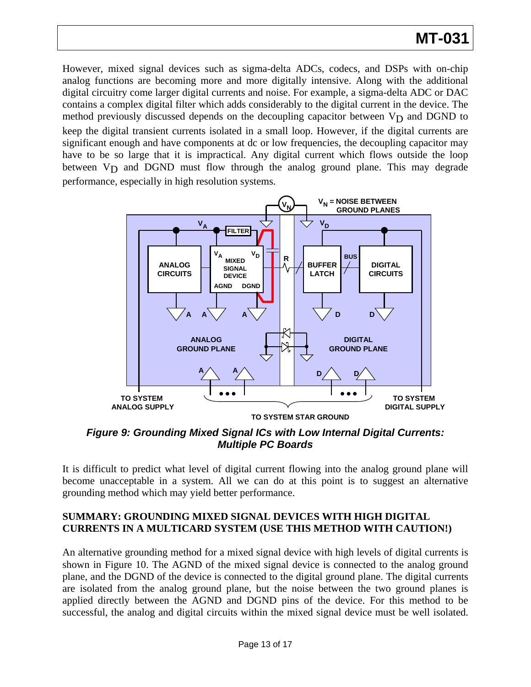However, mixed signal devices such as sigma-delta ADCs, codecs, and DSPs with on-chip analog functions are becoming more and more digitally intensive. Along with the additional digital circuitry come larger digital currents and noise. For example, a sigma-delta ADC or DAC contains a complex digital filter which adds considerably to the digital current in the device. The method previously discussed depends on the decoupling capacitor between  $V_D$  and DGND to

keep the digital transient currents isolated in a small loop. However, if the digital currents are significant enough and have components at dc or low frequencies, the decoupling capacitor may have to be so large that it is impractical. Any digital current which flows outside the loop between  $V_D$  and DGND must flow through the analog ground plane. This may degrade performance, especially in high resolution systems.



*Figure 9: Grounding Mixed Signal ICs with Low Internal Digital Currents: Multiple PC Boards* 

It is difficult to predict what level of digital current flowing into the analog ground plane will become unacceptable in a system. All we can do at this point is to suggest an alternative grounding method which may yield better performance.

#### **SUMMARY: GROUNDING MIXED SIGNAL DEVICES WITH HIGH DIGITAL CURRENTS IN A MULTICARD SYSTEM (USE THIS METHOD WITH CAUTION!)**

An alternative grounding method for a mixed signal device with high levels of digital currents is shown in Figure 10. The AGND of the mixed signal device is connected to the analog ground plane, and the DGND of the device is connected to the digital ground plane. The digital currents are isolated from the analog ground plane, but the noise between the two ground planes is applied directly between the AGND and DGND pins of the device. For this method to be successful, the analog and digital circuits within the mixed signal device must be well isolated.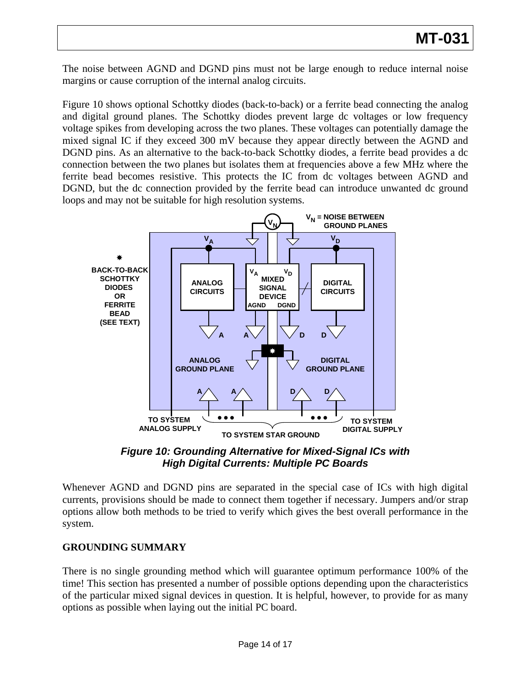The noise between AGND and DGND pins must not be large enough to reduce internal noise margins or cause corruption of the internal analog circuits.

Figure 10 shows optional Schottky diodes (back-to-back) or a ferrite bead connecting the analog and digital ground planes. The Schottky diodes prevent large dc voltages or low frequency voltage spikes from developing across the two planes. These voltages can potentially damage the mixed signal IC if they exceed 300 mV because they appear directly between the AGND and DGND pins. As an alternative to the back-to-back Schottky diodes, a ferrite bead provides a dc connection between the two planes but isolates them at frequencies above a few MHz where the ferrite bead becomes resistive. This protects the IC from dc voltages between AGND and DGND, but the dc connection provided by the ferrite bead can introduce unwanted dc ground loops and may not be suitable for high resolution systems.



*Figure 10: Grounding Alternative for Mixed-Signal ICs with High Digital Currents: Multiple PC Boards* 

Whenever AGND and DGND pins are separated in the special case of ICs with high digital currents, provisions should be made to connect them together if necessary. Jumpers and/or strap options allow both methods to be tried to verify which gives the best overall performance in the system.

#### **GROUNDING SUMMARY**

There is no single grounding method which will guarantee optimum performance 100% of the time! This section has presented a number of possible options depending upon the characteristics of the particular mixed signal devices in question. It is helpful, however, to provide for as many options as possible when laying out the initial PC board.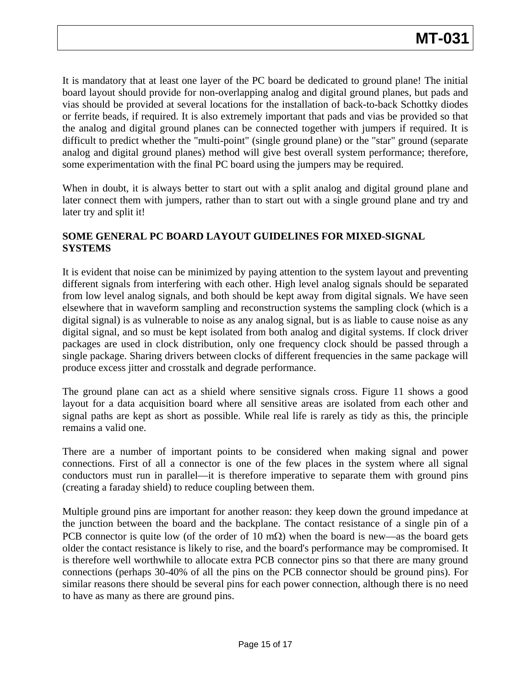It is mandatory that at least one layer of the PC board be dedicated to ground plane! The initial board layout should provide for non-overlapping analog and digital ground planes, but pads and vias should be provided at several locations for the installation of back-to-back Schottky diodes or ferrite beads, if required. It is also extremely important that pads and vias be provided so that the analog and digital ground planes can be connected together with jumpers if required. It is difficult to predict whether the "multi-point" (single ground plane) or the "star" ground (separate analog and digital ground planes) method will give best overall system performance; therefore, some experimentation with the final PC board using the jumpers may be required.

When in doubt, it is always better to start out with a split analog and digital ground plane and later connect them with jumpers, rather than to start out with a single ground plane and try and later try and split it!

#### **SOME GENERAL PC BOARD LAYOUT GUIDELINES FOR MIXED-SIGNAL SYSTEMS**

It is evident that noise can be minimized by paying attention to the system layout and preventing different signals from interfering with each other. High level analog signals should be separated from low level analog signals, and both should be kept away from digital signals. We have seen elsewhere that in waveform sampling and reconstruction systems the sampling clock (which is a digital signal) is as vulnerable to noise as any analog signal, but is as liable to cause noise as any digital signal, and so must be kept isolated from both analog and digital systems. If clock driver packages are used in clock distribution, only one frequency clock should be passed through a single package. Sharing drivers between clocks of different frequencies in the same package will produce excess jitter and crosstalk and degrade performance.

The ground plane can act as a shield where sensitive signals cross. Figure 11 shows a good layout for a data acquisition board where all sensitive areas are isolated from each other and signal paths are kept as short as possible. While real life is rarely as tidy as this, the principle remains a valid one.

There are a number of important points to be considered when making signal and power connections. First of all a connector is one of the few places in the system where all signal conductors must run in parallel—it is therefore imperative to separate them with ground pins (creating a faraday shield) to reduce coupling between them.

Multiple ground pins are important for another reason: they keep down the ground impedance at the junction between the board and the backplane. The contact resistance of a single pin of a PCB connector is quite low (of the order of 10 m $\Omega$ ) when the board is new—as the board gets older the contact resistance is likely to rise, and the board's performance may be compromised. It is therefore well worthwhile to allocate extra PCB connector pins so that there are many ground connections (perhaps 30-40% of all the pins on the PCB connector should be ground pins). For similar reasons there should be several pins for each power connection, although there is no need to have as many as there are ground pins.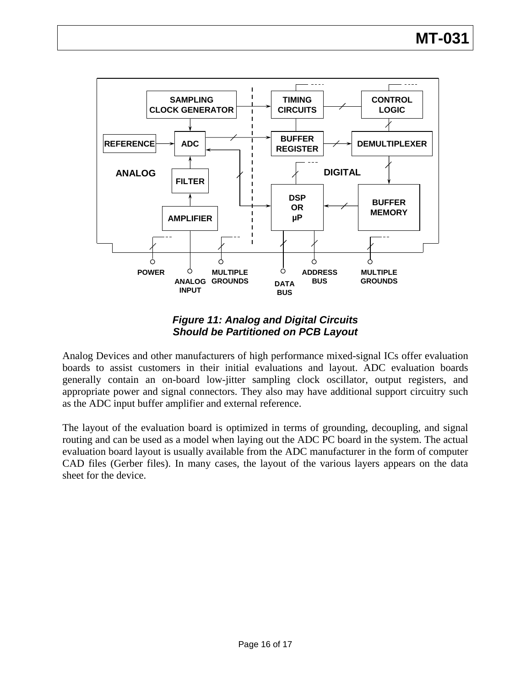

### *Figure 11: Analog and Digital Circuits Should be Partitioned on PCB Layout*

Analog Devices and other manufacturers of high performance mixed-signal ICs offer evaluation boards to assist customers in their initial evaluations and layout. ADC evaluation boards generally contain an on-board low-jitter sampling clock oscillator, output registers, and appropriate power and signal connectors. They also may have additional support circuitry such as the ADC input buffer amplifier and external reference.

The layout of the evaluation board is optimized in terms of grounding, decoupling, and signal routing and can be used as a model when laying out the ADC PC board in the system. The actual evaluation board layout is usually available from the ADC manufacturer in the form of computer CAD files (Gerber files). In many cases, the layout of the various layers appears on the data sheet for the device.